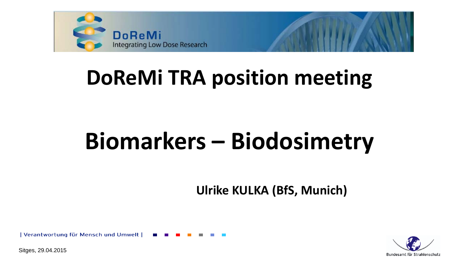

# **DoReMi TRA position meeting**

# **Biomarkers – Biodosimetry**

**Ulrike KULKA (BfS, Munich)**

Bundesamt für Strahlenschutz

| Verantwortung für Mensch und Umwelt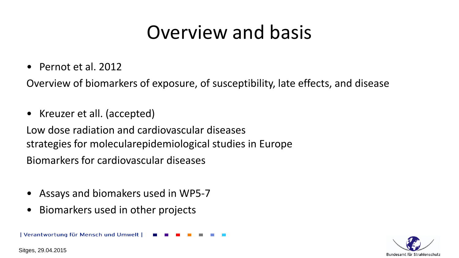### Overview and basis

• Pernot et al. 2012

Overview of biomarkers of exposure, of susceptibility, late effects, and disease

• Kreuzer et all. (accepted)

Low dose radiation and cardiovascular diseases strategies for molecularepidemiological studies in Europe Biomarkers for cardiovascular diseases

- Assays and biomakers used in WP5-7
- Biomarkers used in other projects

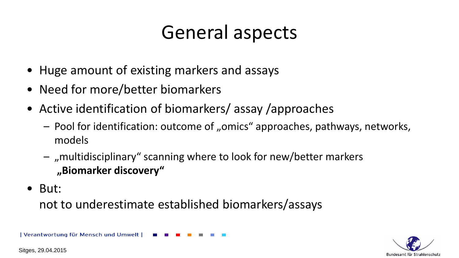### General aspects

- Huge amount of existing markers and assays
- Need for more/better biomarkers
- Active identification of biomarkers/ assay /approaches
	- Pool for identification: outcome of "omics" approaches, pathways, networks, models
	- $-$  , multidisciplinary" scanning where to look for new/better markers **"Biomarker discovery"**
- But:

not to underestimate established biomarkers/assays

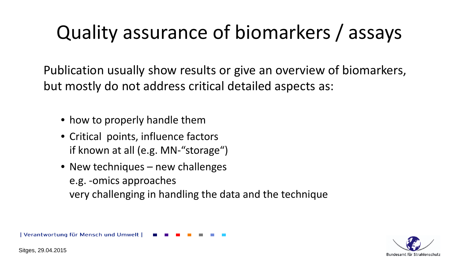# Quality assurance of biomarkers / assays

Publication usually show results or give an overview of biomarkers, but mostly do not address critical detailed aspects as:

- how to properly handle them
- Critical points, influence factors if known at all (e.g. MN-"storage")
- New techniques new challenges e.g. -omics approaches very challenging in handling the data and the technique

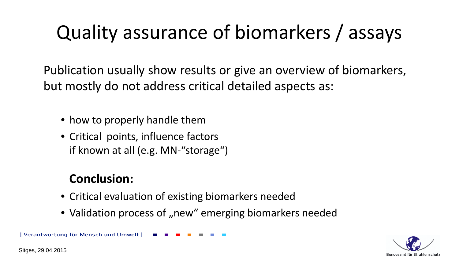# Quality assurance of biomarkers / assays

Publication usually show results or give an overview of biomarkers, but mostly do not address critical detailed aspects as:

- how to properly handle them
- Critical points, influence factors if known at all (e.g. MN-"storage")

#### **Conclusion:**

- Critical evaluation of existing biomarkers needed
- Validation process of "new" emerging biomarkers needed

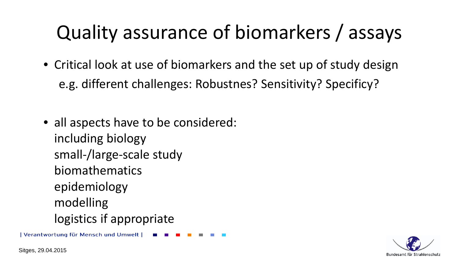# Quality assurance of biomarkers / assays

- Critical look at use of biomarkers and the set up of study design e.g. different challenges: Robustnes? Sensitivity? Specificy?
- all aspects have to be considered: including biology small-/large-scale study biomathematics epidemiology modelling logistics if appropriate

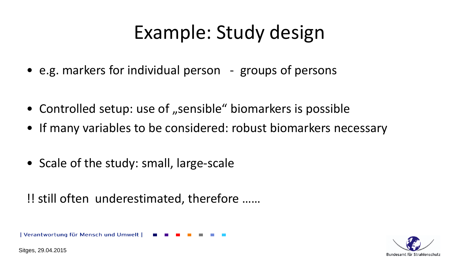# Example: Study design

- e.g. markers for individual person groups of persons
- Controlled setup: use of "sensible" biomarkers is possible
- If many variables to be considered: robust biomarkers necessary
- Scale of the study: small, large-scale

#### !! still often underestimated, therefore ……

Verantwortung für Mensch und Umwelt

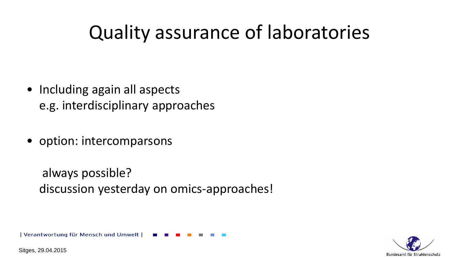### Quality assurance of laboratories

- Including again all aspects e.g. interdisciplinary approaches
- option: intercomparsons

always possible? discussion yesterday on omics-approaches!

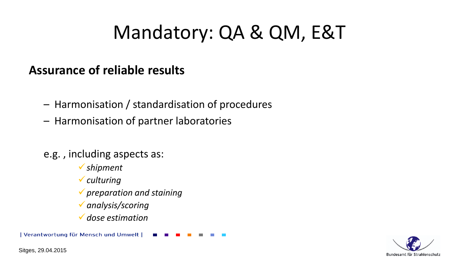### Mandatory: QA & QM, E&T

#### **Assurance of reliable results**

- Harmonisation / standardisation of procedures
- Harmonisation of partner laboratories
- e.g. , including aspects as:
	- *shipment*
	- *culturing*
	- *preparation and staining*
	- *analysis/scoring*
	- *dose estimation*

| Verantwortung für Mensch und Umwelt

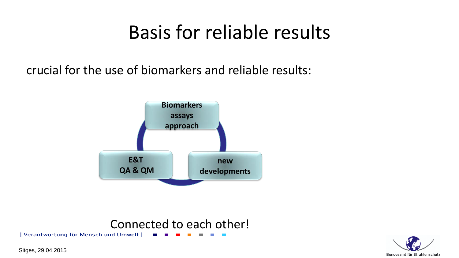### Basis for reliable results

crucial for the use of biomarkers and reliable results:



### Connected to each other!

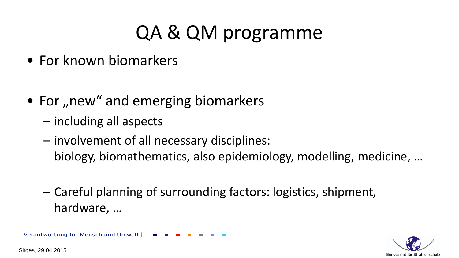# QA & QM programme

- For known biomarkers
- For "new" and emerging biomarkers
	- including all aspects
	- involvement of all necessary disciplines: biology, biomathematics, also epidemiology, modelling, medicine, …
	- Careful planning of surrounding factors: logistics, shipment, hardware, …

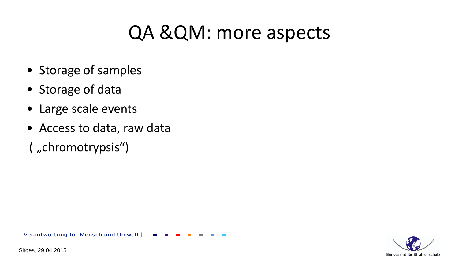### QA &QM: more aspects

- Storage of samples
- Storage of data
- Large scale events
- Access to data, raw data
- ( "chromotrypsis")

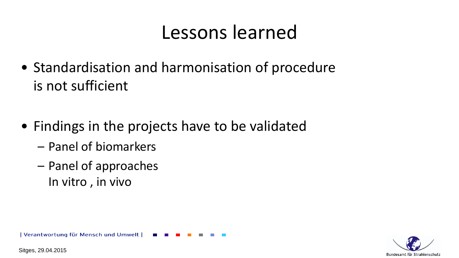### Lessons learned

- Standardisation and harmonisation of procedure is not sufficient
- Findings in the projects have to be validated
	- Panel of biomarkers
	- Panel of approaches In vitro , in vivo

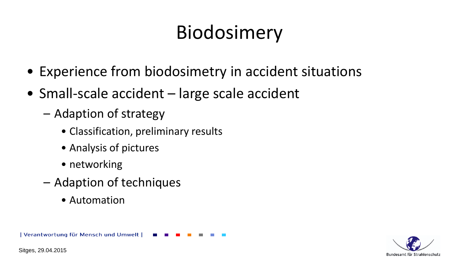# Biodosimery

- Experience from biodosimetry in accident situations
- Small-scale accident large scale accident
	- Adaption of strategy
		- Classification, preliminary results
		- Analysis of pictures
		- networking
	- Adaption of techniques
		- Automation

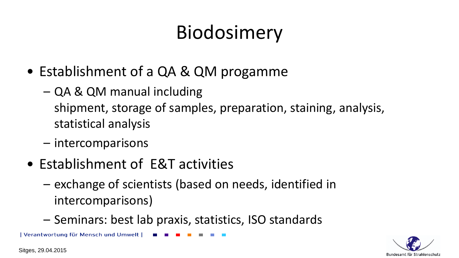# Biodosimery

- Establishment of a QA & QM progamme
	- QA & QM manual including shipment, storage of samples, preparation, staining, analysis, statistical analysis
	- intercomparisons
- Establishment of E&T activities
	- exchange of scientists (based on needs, identified in intercomparisons)
	- Seminars: best lab praxis, statistics, ISO standards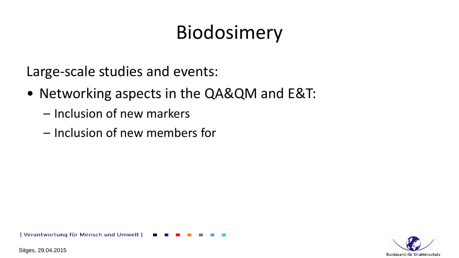# Biodosimery

Large-scale studies and events:

- Networking aspects in the QA&QM and E&T:
	- Inclusion of new markers
	- Inclusion of new members for

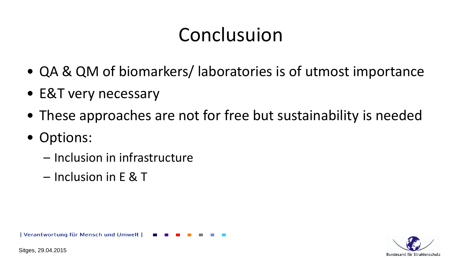### Conclusuion

- QA & QM of biomarkers/ laboratories is of utmost importance
- E&T very necessary
- These approaches are not for free but sustainability is needed
- Options:
	- Inclusion in infrastructure
	- Inclusion in E & T